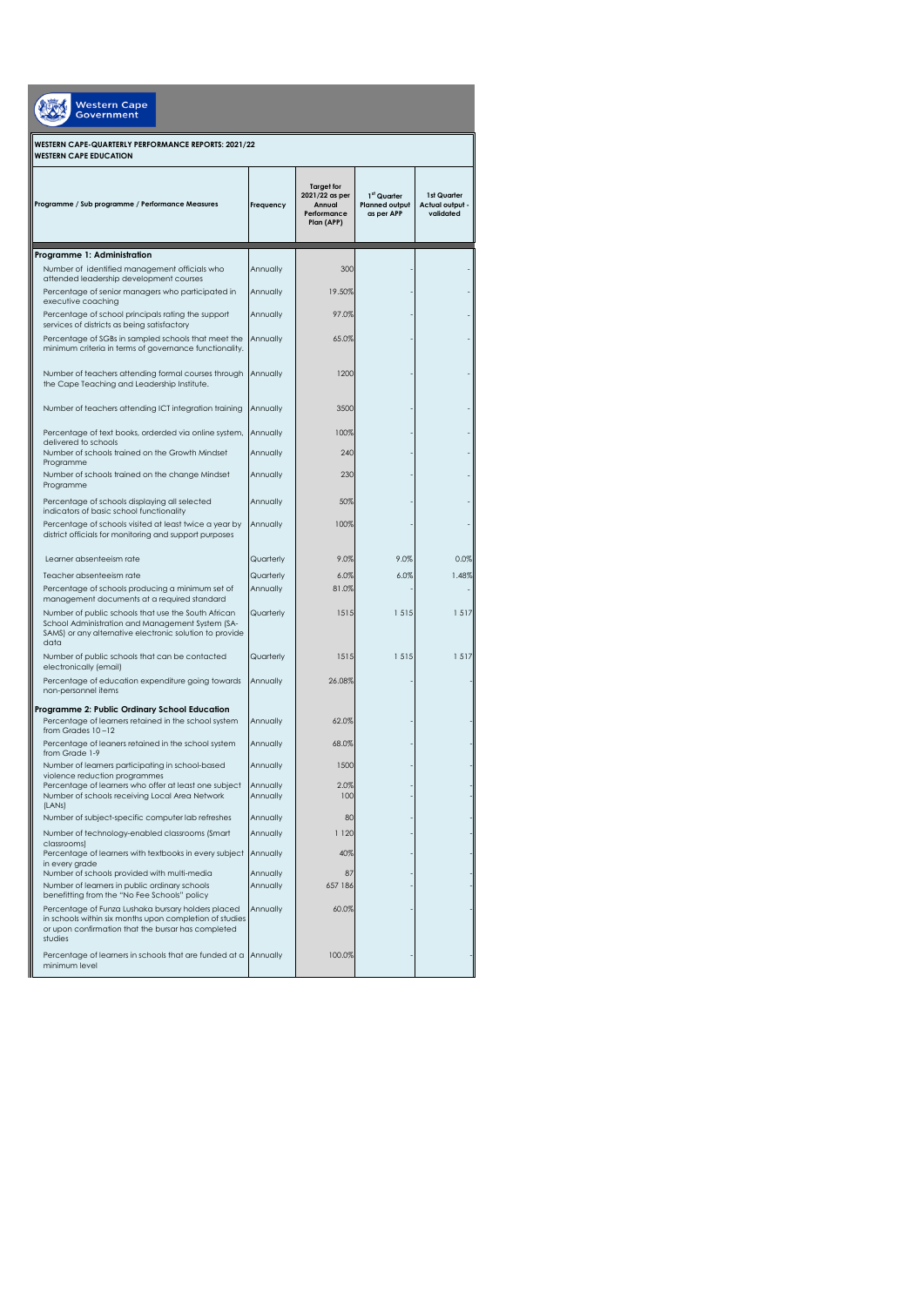| Western Cape<br>Government                                                                                                                                                     |                      |                                                                            |                                                                |                                             |  |  |
|--------------------------------------------------------------------------------------------------------------------------------------------------------------------------------|----------------------|----------------------------------------------------------------------------|----------------------------------------------------------------|---------------------------------------------|--|--|
| WESTERN CAPE-QUARTERLY PERFORMANCE REPORTS: 2021/22<br><b>WESTERN CAPE EDUCATION</b>                                                                                           |                      |                                                                            |                                                                |                                             |  |  |
| Programme / Sub programme / Performance Measures                                                                                                                               | Frequency            | <b>Target for</b><br>2021/22 as per<br>Annual<br>Performance<br>Plan (APP) | 1 <sup>st</sup> Quarter<br><b>Planned output</b><br>as per APP | 1st Quarter<br>Actual output -<br>validated |  |  |
| Programme 1: Administration                                                                                                                                                    |                      |                                                                            |                                                                |                                             |  |  |
| Number of identified management officials who                                                                                                                                  | Annually             | 300                                                                        |                                                                |                                             |  |  |
| attended leadership development courses                                                                                                                                        |                      |                                                                            |                                                                |                                             |  |  |
| Percentage of senior managers who participated in<br>executive coaching                                                                                                        | Annually             | 19.50%                                                                     |                                                                |                                             |  |  |
| Percentage of school principals rating the support<br>services of districts as being satisfactory                                                                              | Annually             | 97.0%                                                                      |                                                                |                                             |  |  |
| Percentage of SGBs in sampled schools that meet the<br>minimum criteria in terms of governance functionality.                                                                  | Annually             | 65.0%                                                                      |                                                                |                                             |  |  |
| Number of teachers attending formal courses through<br>the Cape Teaching and Leadership Institute.                                                                             | Annually             | 1200                                                                       |                                                                |                                             |  |  |
| Number of teachers attending ICT integration training                                                                                                                          | Annually             | 3500                                                                       |                                                                |                                             |  |  |
| Percentage of text books, orderded via online system,                                                                                                                          | Annually             | 100%                                                                       |                                                                |                                             |  |  |
| delivered to schools<br>Number of schools trained on the Growth Mindset                                                                                                        | Annually             | 240                                                                        |                                                                |                                             |  |  |
| Programme<br>Number of schools trained on the change Mindset<br>Programme                                                                                                      | Annually             | 230                                                                        |                                                                |                                             |  |  |
| Percentage of schools displaying all selected<br>indicators of basic school functionality                                                                                      | Annually             | 50%                                                                        |                                                                |                                             |  |  |
| Percentage of schools visited at least twice a year by<br>district officials for monitoring and support purposes                                                               | Annually             | 100%                                                                       |                                                                |                                             |  |  |
| Learner absenteeism rate                                                                                                                                                       | Quarterly            | 9.0%                                                                       | 9.0%                                                           | 0.0%                                        |  |  |
| Teacher absenteeism rate                                                                                                                                                       | Quarterly            | 6.0%                                                                       | 6.0%                                                           | 1.48%                                       |  |  |
| Percentage of schools producing a minimum set of<br>management documents at a required standard                                                                                | Annually             | 81.0%                                                                      |                                                                |                                             |  |  |
| Number of public schools that use the South African<br>School Administration and Management System (SA-<br>SAMS) or any alternative electronic solution to provide<br>data     | Quarterly            | 1515                                                                       | 1515                                                           | 1517                                        |  |  |
| Number of public schools that can be contacted<br>electronically (email)                                                                                                       | Quarterly            | 1515                                                                       | 1515                                                           | 1517                                        |  |  |
| Percentage of education expenditure going towards<br>non-personnel items                                                                                                       | Annually             | 26.08%                                                                     |                                                                |                                             |  |  |
| Programme 2: Public Ordinary School Education<br>Percentage of learners retained in the school system<br>from Grades 10-12                                                     | Annually             | 62.0%                                                                      |                                                                |                                             |  |  |
| Percentage of leaners retained in the school system<br>from Grade 1-9                                                                                                          | Annually             | 68.0%                                                                      |                                                                |                                             |  |  |
| Number of learners participating in school-based<br>violence reduction programmes                                                                                              | Annually             | 1500                                                                       |                                                                |                                             |  |  |
| Percentage of learners who offer at least one subject<br>Number of schools receiving Local Area Network<br>(LANS)                                                              | Annually<br>Annually | 2.0%<br>100                                                                |                                                                |                                             |  |  |
| Number of subject-specific computer lab refreshes                                                                                                                              | Annually             | 80                                                                         |                                                                |                                             |  |  |
| Number of technology-enabled classrooms (Smart<br>classrooms)                                                                                                                  | Annually             | 1 1 2 0                                                                    |                                                                |                                             |  |  |
| Percentage of learners with textbooks in every subject<br>in every grade                                                                                                       | Annually             | 40%                                                                        |                                                                |                                             |  |  |
| Number of schools provided with multi-media<br>Number of learners in public ordinary schools<br>benefitting from the "No Fee Schools" policy                                   | Annually<br>Annually | 87<br>657 186                                                              |                                                                |                                             |  |  |
| Percentage of Funza Lushaka bursary holders placed<br>in schools within six months upon completion of studies<br>or upon confirmation that the bursar has completed<br>studies | Annually             | 60.0%                                                                      |                                                                |                                             |  |  |
| Percentage of learners in schools that are funded at a Annually<br>minimum level                                                                                               |                      | 100.0%                                                                     |                                                                |                                             |  |  |